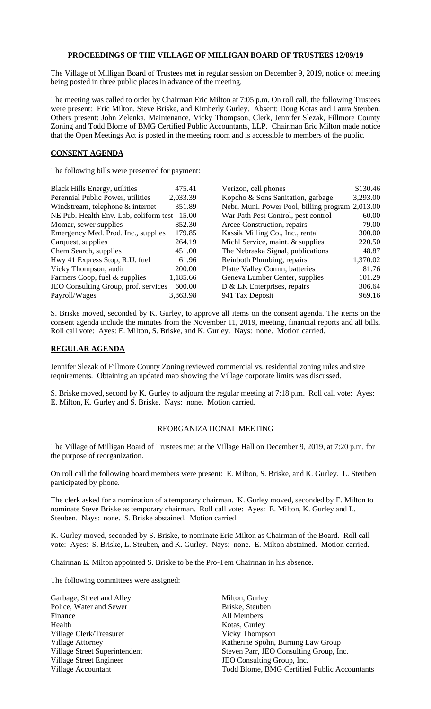## **PROCEEDINGS OF THE VILLAGE OF MILLIGAN BOARD OF TRUSTEES 12/09/19**

The Village of Milligan Board of Trustees met in regular session on December 9, 2019, notice of meeting being posted in three public places in advance of the meeting.

The meeting was called to order by Chairman Eric Milton at 7:05 p.m. On roll call, the following Trustees were present: Eric Milton, Steve Briske, and Kimberly Gurley. Absent: Doug Kotas and Laura Steuben. Others present: John Zelenka, Maintenance, Vicky Thompson, Clerk, Jennifer Slezak, Fillmore County Zoning and Todd Blome of BMG Certified Public Accountants, LLP. Chairman Eric Milton made notice that the Open Meetings Act is posted in the meeting room and is accessible to members of the public.

## **CONSENT AGENDA**

The following bills were presented for payment:

| <b>Black Hills Energy, utilities</b>   | 475.41   | Verizon, cell phones                             | \$130.46 |
|----------------------------------------|----------|--------------------------------------------------|----------|
| Perennial Public Power, utilities      | 2,033.39 | Kopcho & Sons Sanitation, garbage                | 3,293.00 |
| Windstream, telephone & internet       | 351.89   | Nebr. Muni. Power Pool, billing program 2,013.00 |          |
| NE Pub. Health Env. Lab, coliform test | 15.00    | War Path Pest Control, pest control              | 60.00    |
| Momar, sewer supplies                  | 852.30   | Arcee Construction, repairs                      | 79.00    |
| Emergency Med. Prod. Inc., supplies    | 179.85   | Kassik Milling Co., Inc., rental                 | 300.00   |
| Carquest, supplies                     | 264.19   | Michl Service, maint. & supplies                 | 220.50   |
| Chem Search, supplies                  | 451.00   | The Nebraska Signal, publications                | 48.87    |
| Hwy 41 Express Stop, R.U. fuel         | 61.96    | Reinboth Plumbing, repairs                       | 1,370.02 |
| Vicky Thompson, audit                  | 200.00   | Platte Valley Comm, batteries                    | 81.76    |
| Farmers Coop, fuel & supplies          | 1,185.66 | Geneva Lumber Center, supplies                   | 101.29   |
| JEO Consulting Group, prof. services   | 600.00   | D & LK Enterprises, repairs                      | 306.64   |
| Payroll/Wages                          | 3,863.98 | 941 Tax Deposit                                  | 969.16   |

S. Briske moved, seconded by K. Gurley, to approve all items on the consent agenda. The items on the consent agenda include the minutes from the November 11, 2019, meeting, financial reports and all bills. Roll call vote: Ayes: E. Milton, S. Briske, and K. Gurley. Nays: none. Motion carried.

## **REGULAR AGENDA**

Jennifer Slezak of Fillmore County Zoning reviewed commercial vs. residential zoning rules and size requirements. Obtaining an updated map showing the Village corporate limits was discussed.

S. Briske moved, second by K. Gurley to adjourn the regular meeting at 7:18 p.m. Roll call vote: Ayes: E. Milton, K. Gurley and S. Briske. Nays: none. Motion carried.

## REORGANIZATIONAL MEETING

The Village of Milligan Board of Trustees met at the Village Hall on December 9, 2019, at 7:20 p.m. for the purpose of reorganization.

On roll call the following board members were present: E. Milton, S. Briske, and K. Gurley. L. Steuben participated by phone.

The clerk asked for a nomination of a temporary chairman. K. Gurley moved, seconded by E. Milton to nominate Steve Briske as temporary chairman. Roll call vote: Ayes: E. Milton, K. Gurley and L. Steuben. Nays: none. S. Briske abstained. Motion carried.

K. Gurley moved, seconded by S. Briske, to nominate Eric Milton as Chairman of the Board. Roll call vote: Ayes: S. Briske, L. Steuben, and K. Gurley. Nays: none. E. Milton abstained. Motion carried.

Chairman E. Milton appointed S. Briske to be the Pro-Tem Chairman in his absence.

The following committees were assigned:

Garbage, Street and Alley Milton, Gurley Police, Water and Sewer Briske, Steuben Finance All Members Health Kotas, Gurley Village Clerk/Treasurer Vicky Thompson Village Street Engineer JEO Consulting Group, Inc.

Village Attorney Katherine Spohn, Burning Law Group Village Street Superintendent Steven Parr, JEO Consulting Group, Inc. Village Accountant Todd Blome, BMG Certified Public Accountants